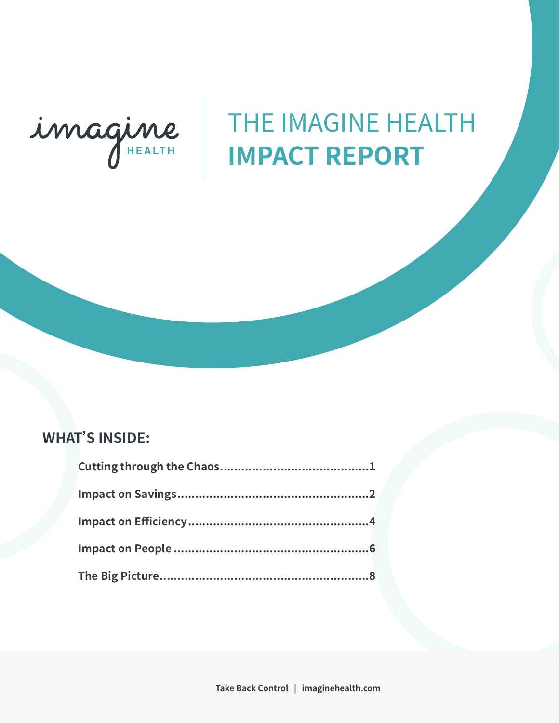

# THE IMAGINE HEALTH **IMPACT REPORT**

## **WHAT'S INSIDE:**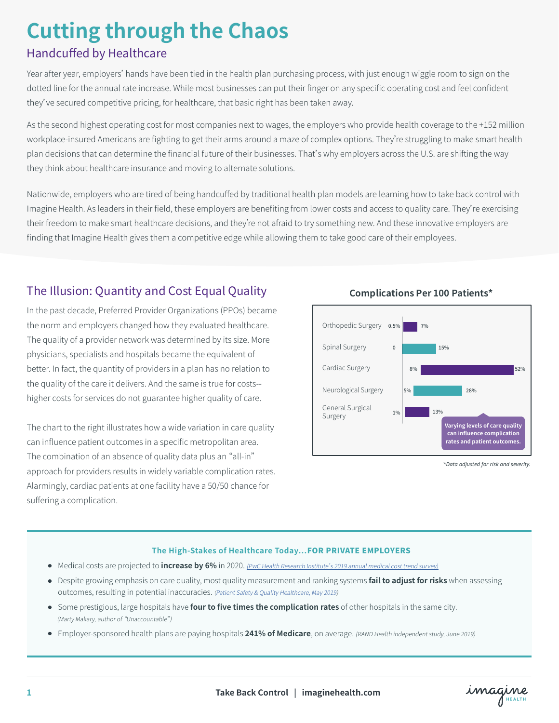# **Cutting through the Chaos**

## Handcuffed by Healthcare

Year after year, employers' hands have been tied in the health plan purchasing process, with just enough wiggle room to sign on the dotted line for the annual rate increase. While most businesses can put their finger on any specific operating cost and feel confident they've secured competitive pricing, for healthcare, that basic right has been taken away.

As the second highest operating cost for most companies next to wages, the employers who provide health coverage to the +152 million workplace-insured Americans are fighting to get their arms around a maze of complex options. They're struggling to make smart health plan decisions that can determine the financial future of their businesses. That's why employers across the U.S. are shifting the way they think about healthcare insurance and moving to alternate solutions.

Nationwide, employers who are tired of being handcuffed by traditional health plan models are learning how to take back control with Imagine Health. As leaders in their field, these employers are benefiting from lower costs and access to quality care. They're exercising their freedom to make smart healthcare decisions, and they're not afraid to try something new. And these innovative employers are finding that Imagine Health gives them a competitive edge while allowing them to take good care of their employees.

## The Illusion: Quantity and Cost Equal Quality

In the past decade, Preferred Provider Organizations (PPOs) became the norm and employers changed how they evaluated healthcare. The quality of a provider network was determined by its size. More physicians, specialists and hospitals became the equivalent of better. In fact, the quantity of providers in a plan has no relation to the quality of the care it delivers. And the same is true for costs- higher costs for services do not guarantee higher quality of care.

The chart to the right illustrates how a wide variation in care quality can influence patient outcomes in a specific metropolitan area. The combination of an absence of quality data plus an "all-in" approach for providers results in widely variable complication rates. Alarmingly, cardiac patients at one facility have a 50/50 chance for suffering a complication.



**Complications Per 100 Patients\***

*\*Data adjusted for risk and severity.*

#### **The High-Stakes of Healthcare Today…**FOR PRIVATE EMPLOYERS

- Medical costs are projected to **increase by 6%** in 2020. (PwC Health Research Institute's 2019 annual medical cost trend survey)
- Despite growing emphasis on care quality, most quality measurement and ranking systems **fail to adjust for risks** when assessing outcomes, resulting in potential inaccuracies. (Patient Safety & Quality Healthcare, May 2019)
- Some prestigious, large hospitals have **four to five times the complication rates** of other hospitals in the same city. (Marty Makary, author of "Unaccountable")
- Employer-sponsored health plans are paying hospitals **241% of Medicare**, on average. (RAND Health independent study, June 2019)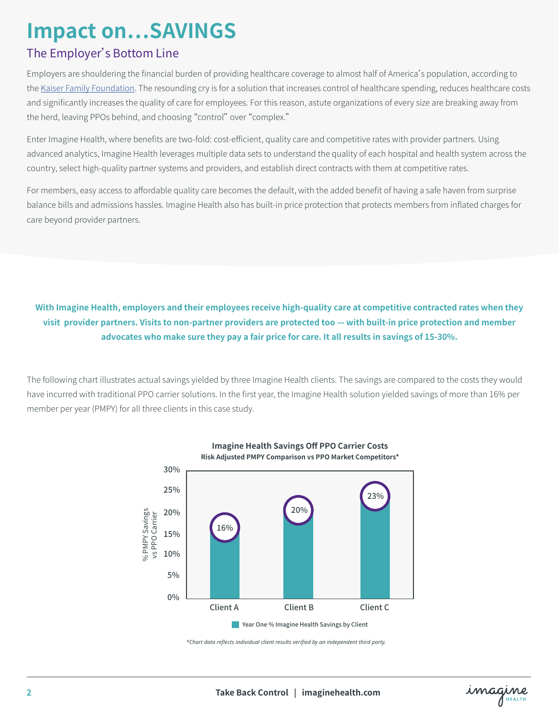## **Impact on…SAVINGS**

## The Employer's Bottom Line

Employers are shouldering the financial burden of providing healthcare coverage to almost half of America's population, according to the Kaiser Family Foundation. The resounding cry is for a solution that increases control of healthcare spending, reduces healthcare costs and significantly increases the quality of care for employees. For this reason, astute organizations of every size are breaking away from the herd, leaving PPOs behind, and choosing "control" over "complex."

Enter Imagine Health, where benefits are two-fold: cost-efficient, quality care and competitive rates with provider partners. Using advanced analytics, Imagine Health leverages multiple data sets to understand the quality of each hospital and health system across the country, select high-quality partner systems and providers, and establish direct contracts with them at competitive rates.

For members, easy access to affordable quality care becomes the default, with the added benefit of having a safe haven from surprise balance bills and admissions hassles. Imagine Health also has built-in price protection that protects members from inflated charges for care beyond provider partners.

### With Imagine Health, employers and their employees receive high-quality care at competitive contracted rates when they visit provider partners. Visits to non-partner providers are protected too — with built-in price protection and member **advocates who make sure they pay a fair price for care. It all results in savings of 15-30%.**

The following chart illustrates actual savings yielded by three Imagine Health clients. The savings are compared to the costs they would have incurred with traditional PPO carrier solutions. In the first year, the Imagine Health solution yielded savings of more than 16% per member per year (PMPY) for all three clients in this case study.



**Imagine Health Savings Off PPO Carrier Costs Risk Adjusted PMPY Comparison vs PPO Market Competitors\***

*\*Chart data reflects individual client results verified by an independent third party.*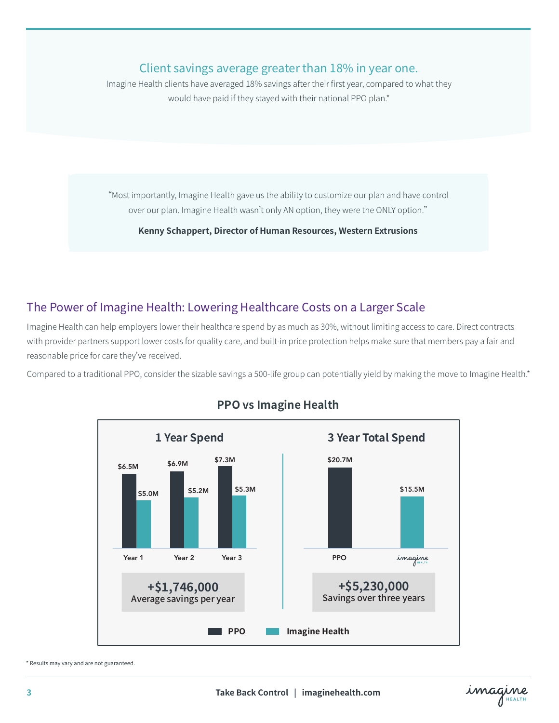### Client savings average greater than 18% in year one.

Imagine Health clients have averaged 18% savings after their first year, compared to what they would have paid if they stayed with their national PPO plan.\*

"Most importantly, Imagine Health gave us the ability to customize our plan and have control over our plan. Imagine Health wasn't only AN option, they were the ONLY option."

**Kenny Schappert, Director of Human Resources, Western Extrusions**

## The Power of Imagine Health: Lowering Healthcare Costs on a Larger Scale

Imagine Health can help employers lower their healthcare spend by as much as 30%, without limiting access to care. Direct contracts with provider partners support lower costs for quality care, and built-in price protection helps make sure that members pay a fair and reasonable price for care they've received.

Compared to a traditional PPO, consider the sizable savings a 500-life group can potentially yield by making the move to Imagine Health.\*



### **PPO vs Imagine Health**

\* Results may vary and are not guaranteed.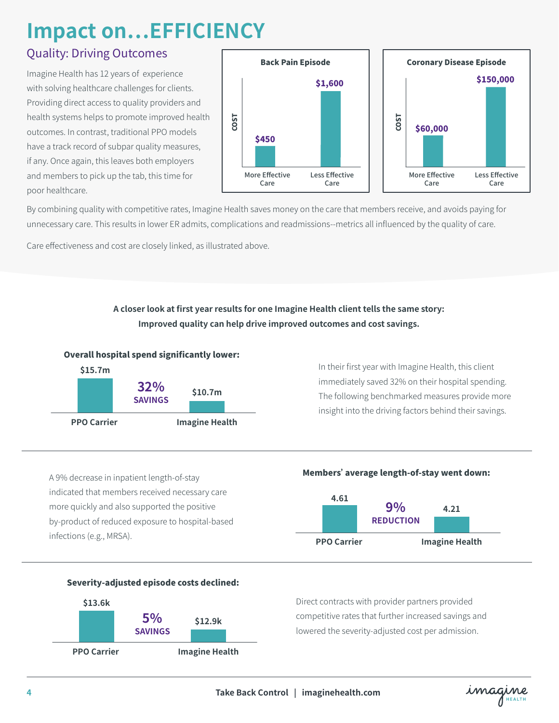## **Impact on…EFFICIENCY**

## Quality: Driving Outcomes

Imagine Health has 12 years of experience with solving healthcare challenges for clients. Providing direct access to quality providers and health systems helps to promote improved health outcomes. In contrast, traditional PPO models have a track record of subpar quality measures, if any. Once again, this leaves both employers and members to pick up the tab, this time for poor healthcare.



By combining quality with competitive rates, Imagine Health saves money on the care that members receive, and avoids paying for unnecessary care. This results in lower ER admits, complications and readmissions--metrics all influenced by the quality of care.

Care effectiveness and cost are closely linked, as illustrated above.

### **A closer look at first year results for one Imagine Health client tells the same story: Improved quality can help drive improved outcomes and cost savings.**



In their first year with Imagine Health, this client immediately saved 32% on their hospital spending. The following benchmarked measures provide more insight into the driving factors behind their savings.







#### Severity-adjusted episode costs declined:



Direct contracts with provider partners provided competitive rates that further increased savings and lowered the severity-adjusted cost per admission.

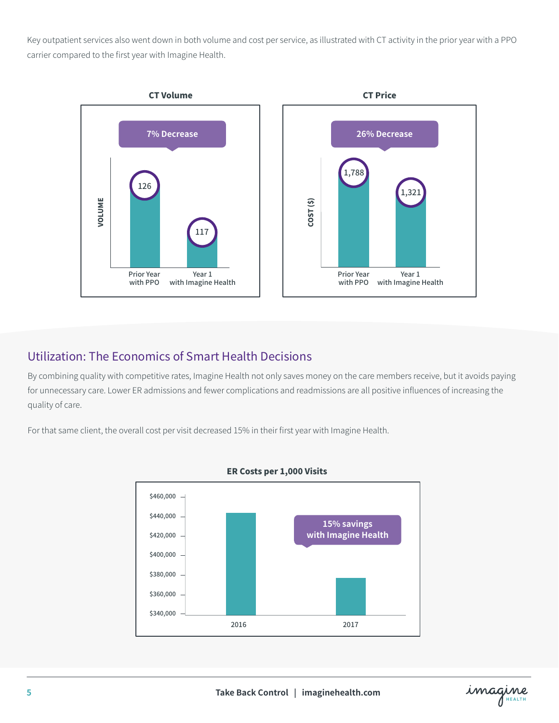Key outpatient services also went down in both volume and cost per service, as illustrated with CT activity in the prior year with a PPO carrier compared to the first year with Imagine Health.



## Utilization: The Economics of Smart Health Decisions

By combining quality with competitive rates, Imagine Health not only saves money on the care members receive, but it avoids paying for unnecessary care. Lower ER admissions and fewer complications and readmissions are all positive influences of increasing the quality of care.

For that same client, the overall cost per visit decreased 15% in their first year with Imagine Health.



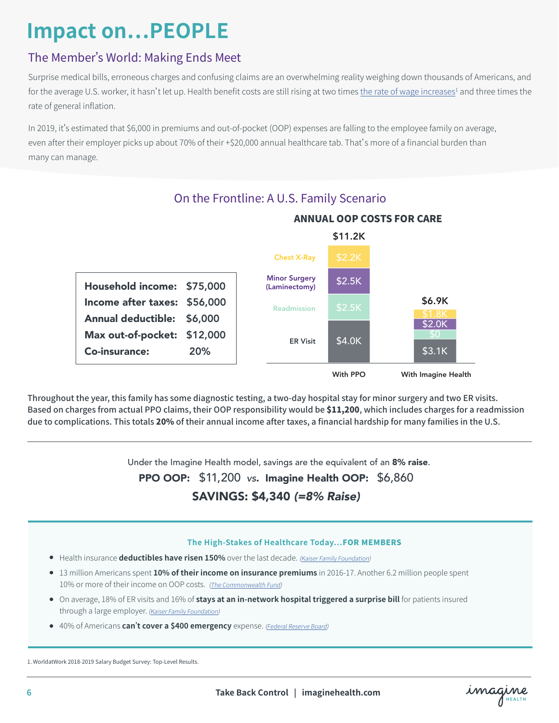## **Impact on…PEOPLE**

## The Member's World: Making Ends Meet

Surprise medical bills, erroneous charges and confusing claims are an overwhelming reality weighing down thousands of Americans, and for the average U.S. worker, it hasn't let up. Health benefit costs are still rising at two times <u>the rate of wage increases<sup>1</sup></u> and three times the rate of general inflation.

In 2019, it's estimated that \$6,000 in premiums and out-of-pocket (OOP) expenses are falling to the employee family on average, even after their employer picks up about 70% of their +\$20,000 annual healthcare tab. That's more of a financial burden than many can manage.



Throughout the year, this family has some diagnostic testing, a two-day hospital stay for minor surgery and two ER visits. Based on charges from actual PPO claims, their OOP responsibility would be \$11,200, which includes charges for a readmission due to complications. This totals 20% of their annual income after taxes, a financial hardship for many families in the U.S.

Under the Imagine Health model, savings are the equivalent of an 8% raise.

PPO OOP: \$11,200 *vs*. Imagine Health OOP: \$6,860

## SAVINGS: \$4,340 *(=8% Raise)*

#### **The High-Stakes of Healthcare Today…**FOR MEMBERS

- **•** Health insurance **deductibles have risen 150%** over the last decade. (Kaiser Family Foundation)
- 13 million Americans spent **10% of their income on insurance premiums** in 2016-17. Another 6.2 million people spent 10% or more of their income on OOP costs. (The Commonwealth Fund)
- On average, 18% of ER visits and 16% of **stays at an in-network hospital triggered a surprise bill** for patients insured through a large employer. (Kaiser Family Foundation)
- 40% of Americans **can't cover a \$400 emergency** expense. (Federal Reserve Board)

1. WorldatWork 2018-2019 Salary Budget Survey: Top-Level Results.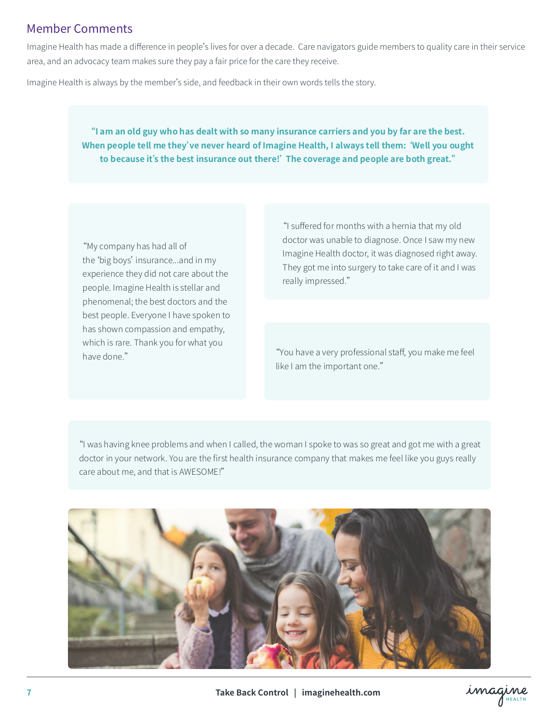### Member Comments

Imagine Health has made a difference in people's lives for over a decade. Care navigators guide members to quality care in their service area, and an advocacy team makes sure they pay a fair price for the care they receive.

Imagine Health is always by the member's side, and feedback in their own words tells the story.

#### "I am an old guy who has dealt with so many insurance carriers and you by far are the best. **When people tell me they've never heard of Imagine Health, I always tell them:'Well you ought to because it's the best insurance out there!'The coverage and people are both great."**

"My company has had all of the'big boys' insurance...and in my experience they did not care about the people. Imagine Health is stellar and phenomenal; the best doctors and the best people. Everyone I have spoken to has shown compassion and empathy, which is rare. Thank you for what you have done."

"I suffered for months with a hernia that my old doctor was unable to diagnose. Once I saw my new Imagine Health doctor, it was diagnosed right away. They got me into surgery to take care of it and I was really impressed."

"You have a very professional staff, you make me feel like I am the important one."

"I was having knee problems and when I called, the woman I spoke to was so great and got me with a great doctor in your network. You are the first health insurance company that makes me feel like you guys really care about me, and that is AWESOME!"

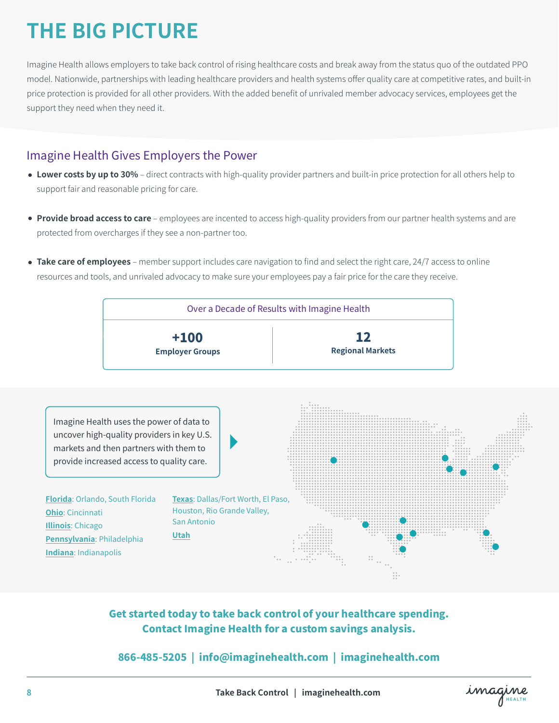# **THE BIG PICTURE**

Imagine Health allows employers to take back control of rising healthcare costs and break away from the status quo of the outdated PPO model. Nationwide, partnerships with leading healthcare providers and health systems offer quality care at competitive rates, and built-in price protection is provided for all other providers. With the added benefit of unrivaled member advocacy services, employees get the support they need when they need it.

## Imagine Health Gives Employers the Power

- **Lower costs by up to 30%** direct contracts with high-quality provider partners and built-in price protection for all others help to support fair and reasonable pricing for care.
- **Provide broad access to care** employees are incented to access high-quality providers from our partner health systems and are protected from overcharges if they see a non-partner too.
- **Take care of employees** member support includes care navigation to find and select the right care, 24/7 access to online resources and tools, and unrivaled advocacy to make sure your employees pay a fair price for the care they receive.



Get started today to take back control of your healthcare spending. Contact Imagine Health for a custom savings analysis.

866-485-5205 | info@imaginehealth.com | imaginehealth.com